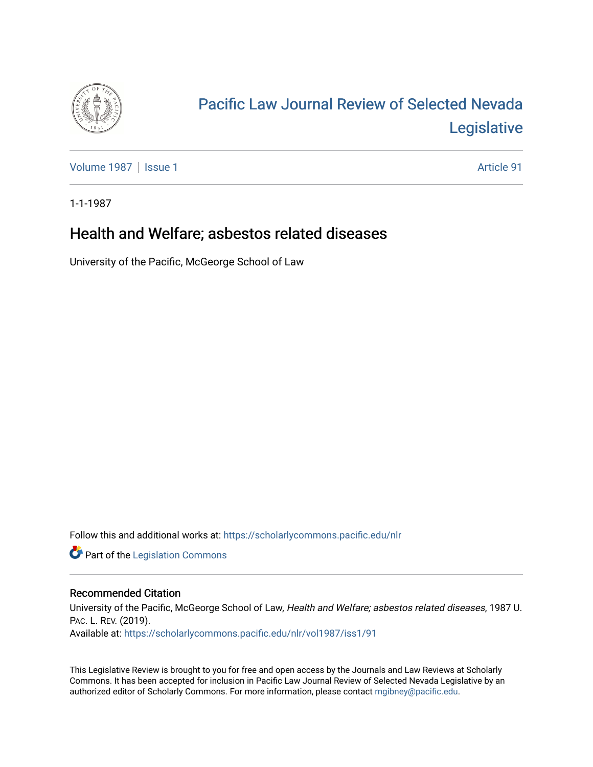

# [Pacific Law Journal Review of Selected Nevada](https://scholarlycommons.pacific.edu/nlr)  [Legislative](https://scholarlycommons.pacific.edu/nlr)

[Volume 1987](https://scholarlycommons.pacific.edu/nlr/vol1987) | [Issue 1](https://scholarlycommons.pacific.edu/nlr/vol1987/iss1) Article 91

1-1-1987

# Health and Welfare; asbestos related diseases

University of the Pacific, McGeorge School of Law

Follow this and additional works at: [https://scholarlycommons.pacific.edu/nlr](https://scholarlycommons.pacific.edu/nlr?utm_source=scholarlycommons.pacific.edu%2Fnlr%2Fvol1987%2Fiss1%2F91&utm_medium=PDF&utm_campaign=PDFCoverPages) 

**Part of the [Legislation Commons](http://network.bepress.com/hgg/discipline/859?utm_source=scholarlycommons.pacific.edu%2Fnlr%2Fvol1987%2Fiss1%2F91&utm_medium=PDF&utm_campaign=PDFCoverPages)** 

## Recommended Citation

University of the Pacific, McGeorge School of Law, Health and Welfare; asbestos related diseases, 1987 U. PAC. L. REV. (2019). Available at: [https://scholarlycommons.pacific.edu/nlr/vol1987/iss1/91](https://scholarlycommons.pacific.edu/nlr/vol1987/iss1/91?utm_source=scholarlycommons.pacific.edu%2Fnlr%2Fvol1987%2Fiss1%2F91&utm_medium=PDF&utm_campaign=PDFCoverPages)

This Legislative Review is brought to you for free and open access by the Journals and Law Reviews at Scholarly Commons. It has been accepted for inclusion in Pacific Law Journal Review of Selected Nevada Legislative by an authorized editor of Scholarly Commons. For more information, please contact [mgibney@pacific.edu](mailto:mgibney@pacific.edu).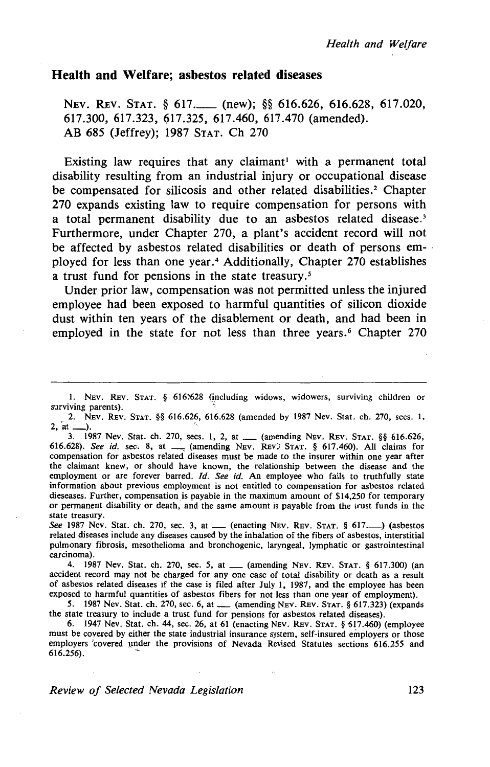### **Health and Welfare; asbestos related diseases**

NEV. REV. STAT. § 617. (new); §§ 616.626, 616.628, 617.020, 617.300, 617.323, 617.325, 617.460, 617.470 (amended). AB 685 (Jeffrey); 1987 STAT. Ch 270

Existing law requires that any claimant<sup>1</sup> with a permanent total disability resulting from an industrial injury or occupational disease be compensated for silicosis and other related disabilities.<sup>2</sup> Chapter 270 expands existing law to require compensation for persons with a total permanent disability due to an asbestos related disease.<sup>3</sup> Furthermore, under Chapter 270, a plant's accident record will not be affected by asbestos related disabilities or death of persons employed for less than one year.<sup>4</sup> Additionally, Chapter 270 establishes a trust fund for pensions in the state treasury. *<sup>5</sup>*

Under prior law, compensation was not permitted unless the injured employee had been exposed to harmful quantities of silicon dioxide dust within ten years of the disablement or death, and had been in employed in the state for not less than three years.<sup>6</sup> Chapter 270

3. 1987 Nev. Stat. ch. 270, sees. 1, 2, at \_ (amending NEv. REv. STAT. §§ 616.626, 616.628). *See id.* sec. 8, at \_\_ (amending NEv. REv) STAT. § 617.460). All claims for compensation for asbestos related diseases must be made to the insurer within one year after the claimant knew, or should have known, the relationship between the disease and the employment or are forever barred. *Id. See id.* An employee who fails to truthfully state information about previous employment is not entitled to compensation for asbestos related dieseases. Further, compensation is payable in the maximum amount of \$14,250 for temporary or permanent disability or death, and the same amount is payable from the trust funds in the state treasury.

See 1987 Nev. Stat. ch. 270, sec. 3, at \_\_ (enacting NEV. REV. STAT. § 617.<sup>1</sup>) (asbestos related diseases include any diseases caused by the inhalation of the fibers of asbestos, interstitial pulmonary fibrosis, mesothelioma and bronchogenic, laryngeal, lymphatic or gastrointestinal carcinoma).

4. 1987 Nev. Stat. ch. 270, sec. 5, at \_\_ (amending NEV. REV. STAT. § 617.300) (an accident record may not be charged for any one case of total disability or death as a result of asbestos related diseases if the case is filed after July I, 1987, and the employee has been exposed to harmful quantities of asbestos fibers for not less than one year of employment).

5. **1987 Nev. Stat. ch. 270, sec. 6, at \_\_ (amending NEV. REV. STAT. § 617.323) (expands** the state treasury to include a trust fund for pensions for asbestos related diseases).

6. 1947 Nev. Stat. ch. 44, sec. 26, at 61 (enacting NEv. REv. STAT. § 617.460) (employee must be covered by either the state industrial insurance system, self-insured employers or those employers 'covered under the provisions of Nevada Revised Statutes sections 616.255 and  $616.256$ ).

*Review of Selected Nevada Legislation* 123

<sup>1.</sup> NEV. REV. STAT. § 616:628 (including widows, widowers, surviving children or surviving parents).

<sup>2.</sup> NEv. REv. STAT. §§ 616.626, 616.628 (amended by 1987 Nev. Stat. ch. 270, sees. 1, 2, 'at\_). '·